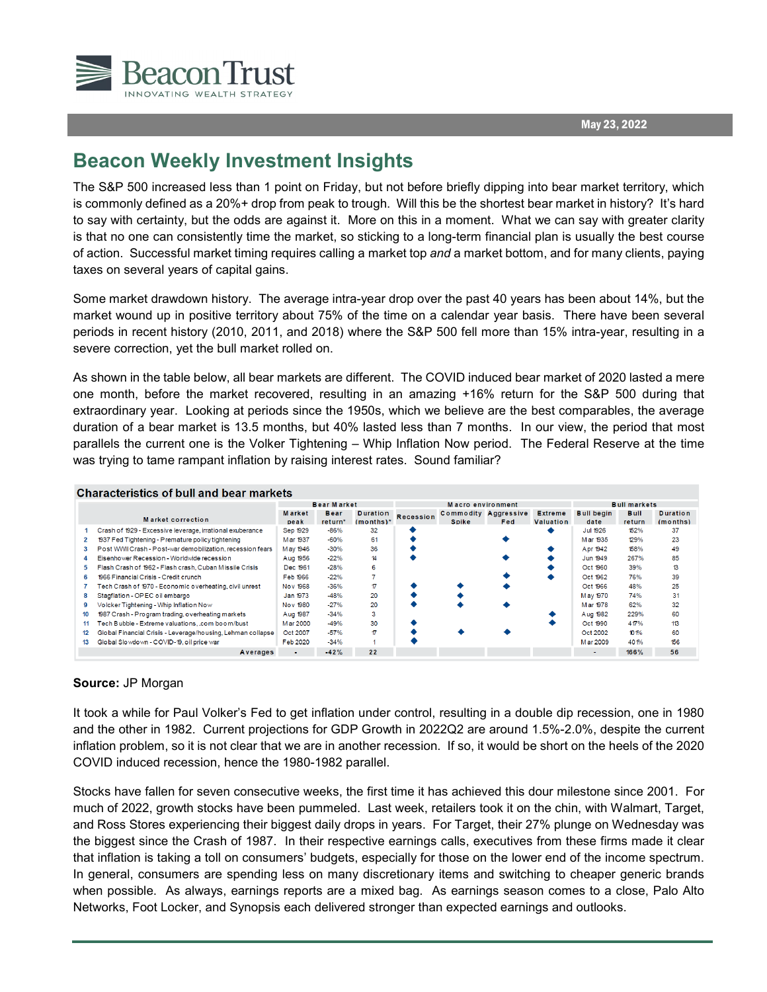$\overline{a}$ 

## **Beacon Weekly Investment Insights**

The S&P 500 increased less than 1 point on Friday, but not before briefly dipping into bear market territory, which is commonly defined as a 20%+ drop from peak to trough. Will this be the shortest bear market in history? It's hard to say with certainty, but the odds are against it. More on this in a moment. What we can say with greater clarity is that no one can consistently time the market, so sticking to a long-term financial plan is usually the best course of action. Successful market timing requires calling a market top *and* a market bottom, and for many clients, paying taxes on several years of capital gains.

Some market drawdown history. The average intra-year drop over the past 40 years has been about 14%, but the market wound up in positive territory about 75% of the time on a calendar year basis. There have been several periods in recent history (2010, 2011, and 2018) where the S&P 500 fell more than 15% intra-year, resulting in a severe correction, yet the bull market rolled on.

As shown in the table below, all bear markets are different. The COVID induced bear market of 2020 lasted a mere one month, before the market recovered, resulting in an amazing +16% return for the S&P 500 during that extraordinary year. Looking at periods since the 1950s, which we believe are the best comparables, the average duration of a bear market is 13.5 months, but 40% lasted less than 7 months. In our view, the period that most parallels the current one is the Volker Tightening – Whip Inflation Now period. The Federal Reserve at the time was trying to tame rampant inflation by raising interest rates. Sound familiar?

| Characteristics of bull and bear markets |                                                             |                    |                         |                 |                   |                             |           |                     |                   |             |                 |
|------------------------------------------|-------------------------------------------------------------|--------------------|-------------------------|-----------------|-------------------|-----------------------------|-----------|---------------------|-------------------|-------------|-----------------|
|                                          |                                                             | <b>Bear Market</b> |                         |                 | Macro environment |                             |           | <b>Bull markets</b> |                   |             |                 |
|                                          |                                                             | <b>Market</b>      | Bear                    | <b>Duration</b> | <b>Recession</b>  | <b>Commodity Aggressive</b> |           | <b>Extreme</b>      | <b>Bull begin</b> | <b>Bull</b> | <b>Duration</b> |
| <b>Market correction</b>                 |                                                             | return*<br>peak    | $(months)$ <sup>*</sup> |                 | <b>Spike</b>      | Fed                         | Valuation | date                | return            | (months)    |                 |
|                                          | Crash of 1929 - Excessive leverage, irrational exuberance   | Sep 1929           | $-86%$                  | 32              |                   |                             |           |                     | Jul 1926          | 152%        | 37              |
| $\mathbf{2}$                             | 1937 Fed Tightening - Premature policy tightening           | M ar 1937          | $-60%$                  | 61              |                   |                             |           |                     | Mar 1935          | 129%        | 23              |
| 3                                        | Post WWII Crash - Post-war demobilization, recession fears  | May 1946           | $-30%$                  | 36              |                   |                             |           |                     | Apr 1942          | 158%        | 49              |
| 4                                        | Eisenhower Recession - Worldwide recession                  | Aug 1956           | $-22%$                  | 14              |                   |                             |           |                     | Jun 1949          | 267%        | 85              |
| 5.                                       | Flash Crash of 1962 - Flash crash, Cuban Missile Crisis     | Dec 1961           | $-28%$                  | 6               |                   |                             |           |                     | Oct 1960          | 39%         | 13              |
| 6                                        | 1966 Financial Crisis - Credit crunch                       | Feb 1966           | $-22%$                  |                 |                   |                             |           |                     | Oct 1962          | 76%         | 39              |
|                                          | Tech Crash of 1970 - Economic overheating, civil unrest     | Nov 1968           | $-36%$                  | $\tau$          |                   |                             |           |                     | Oct 1966          | 48%         | 25              |
| 8                                        | Stagflation - OPEC oil embargo                              | Jan 1973           | $-48%$                  | 20              |                   |                             |           |                     | May 1970          | 74%         | 31              |
| 9                                        | Volcker Tightening - Whip Inflation Now                     | Nov 1980           | $-27%$                  | 20              |                   |                             |           |                     | Mar 1978          | 62%         | 32              |
| 10                                       | 1987 Crash - Program trading, overheating markets           | Aug 1987           | $-34%$                  | 3               |                   |                             |           |                     | Aug 1982          | 229%        | 60              |
| 11                                       | Tech Bubble - Extreme valuations, .com boom/bust            | M ar 2000          | $-49%$                  | 30              |                   |                             |           |                     | Oct 1990          | 417%        | 113             |
| 12                                       | Global Financial Crisis - Leverage/housing, Lehman collapse | Oct 2007           | $-57%$                  | 17              |                   |                             |           |                     | Oct 2002          | 101%        | 60              |
| 13                                       | Global Slowdown - COVID-19, oil price war                   | Feb 2020           | $-34%$                  |                 |                   |                             |           |                     | M ar 2009         | 401%        | 156             |
|                                          | Averages                                                    |                    | $-42%$                  | 22              |                   |                             |           |                     | $\blacksquare$    | 166%        | 56              |

## $\mathbf{r}$  and  $\mathbf{r}$  are  $\mathbf{r}$  and  $\mathbf{r}$  and  $\mathbf{r}$  are  $\mathbf{r}$  and  $\mathbf{r}$

## **Source:** JP Morgan

It took a while for Paul Volker's Fed to get inflation under control, resulting in a double dip recession, one in 1980 and the other in 1982. Current projections for GDP Growth in 2022Q2 are around 1.5%-2.0%, despite the current inflation problem, so it is not clear that we are in another recession. If so, it would be short on the heels of the 2020 COVID induced recession, hence the 1980-1982 parallel.

Stocks have fallen for seven consecutive weeks, the first time it has achieved this dour milestone since 2001. For much of 2022, growth stocks have been pummeled. Last week, retailers took it on the chin, with Walmart, Target, and Ross Stores experiencing their biggest daily drops in years. For Target, their 27% plunge on Wednesday was the biggest since the Crash of 1987. In their respective earnings calls, executives from these firms made it clear that inflation is taking a toll on consumers' budgets, especially for those on the lower end of the income spectrum. In general, consumers are spending less on many discretionary items and switching to cheaper generic brands when possible. As always, earnings reports are a mixed bag. As earnings season comes to a close, Palo Alto Networks, Foot Locker, and Synopsis each delivered stronger than expected earnings and outlooks.